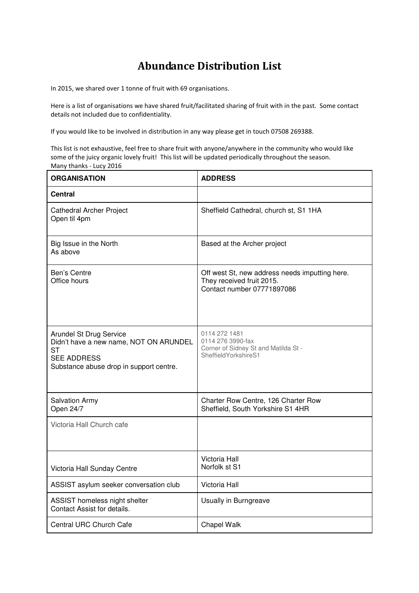## **Abundance Distribution List**

In 2015, we shared over 1 tonne of fruit with 69 organisations.

Here is a list of organisations we have shared fruit/facilitated sharing of fruit with in the past. Some contact details not included due to confidentiality.

If you would like to be involved in distribution in any way please get in touch 07508 269388.

This list is not exhaustive, feel free to share fruit with anyone/anywhere in the community who would like some of the juicy organic lovely fruit! This list will be updated periodically throughout the season. Many thanks - Lucy 2016

| <b>ORGANISATION</b>                                                                                                                             | <b>ADDRESS</b>                                                                                            |
|-------------------------------------------------------------------------------------------------------------------------------------------------|-----------------------------------------------------------------------------------------------------------|
| <b>Central</b>                                                                                                                                  |                                                                                                           |
| Cathedral Archer Project<br>Open til 4pm                                                                                                        | Sheffield Cathedral, church st, S1 1HA                                                                    |
| Big Issue in the North<br>As above                                                                                                              | Based at the Archer project                                                                               |
| Ben's Centre<br>Office hours                                                                                                                    | Off west St, new address needs imputting here.<br>They received fruit 2015.<br>Contact number 07771897086 |
| Arundel St Drug Service<br>Didn't have a new name, NOT ON ARUNDEL<br><b>ST</b><br><b>SEE ADDRESS</b><br>Substance abuse drop in support centre. | 0114 272 1481<br>0114 276 3990-fax<br>Corner of Sidney St and Matilda St -<br>SheffieldYorkshireS1        |
| <b>Salvation Army</b><br>Open 24/7                                                                                                              | Charter Row Centre, 126 Charter Row<br>Sheffield, South Yorkshire S1 4HR                                  |
| Victoria Hall Church cafe                                                                                                                       |                                                                                                           |
| Victoria Hall Sunday Centre                                                                                                                     | Victoria Hall<br>Norfolk st S1                                                                            |
| ASSIST asylum seeker conversation club                                                                                                          | Victoria Hall                                                                                             |
| ASSIST homeless night shelter<br>Contact Assist for details.                                                                                    | Usually in Burngreave                                                                                     |
| Central URC Church Cafe                                                                                                                         | Chapel Walk                                                                                               |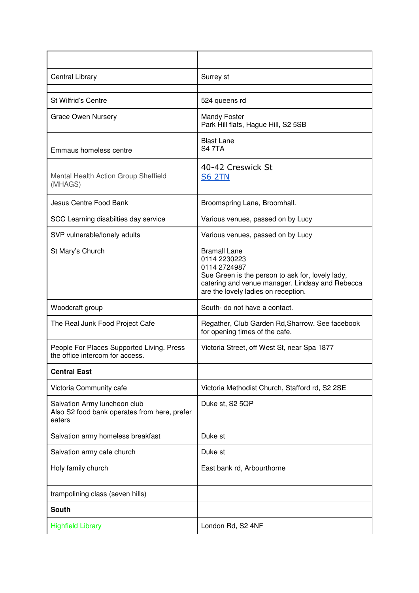| Central Library                                                                        | Surrey st                                                                                                                                                                                         |
|----------------------------------------------------------------------------------------|---------------------------------------------------------------------------------------------------------------------------------------------------------------------------------------------------|
| <b>St Wilfrid's Centre</b>                                                             | 524 queens rd                                                                                                                                                                                     |
| <b>Grace Owen Nursery</b>                                                              | <b>Mandy Foster</b><br>Park Hill flats, Hague Hill, S2 5SB                                                                                                                                        |
| Emmaus homeless centre                                                                 | <b>Blast Lane</b><br><b>S47TA</b>                                                                                                                                                                 |
| Mental Health Action Group Sheffield<br>(MHAGS)                                        | 40-42 Creswick St<br><b>S6 2TN</b>                                                                                                                                                                |
| Jesus Centre Food Bank                                                                 | Broomspring Lane, Broomhall.                                                                                                                                                                      |
| SCC Learning disabilties day service                                                   | Various venues, passed on by Lucy                                                                                                                                                                 |
| SVP vulnerable/lonely adults                                                           | Various venues, passed on by Lucy                                                                                                                                                                 |
| St Mary's Church                                                                       | <b>Bramall Lane</b><br>0114 2230223<br>0114 2724987<br>Sue Green is the person to ask for, lovely lady,<br>catering and venue manager. Lindsay and Rebecca<br>are the lovely ladies on reception. |
| Woodcraft group                                                                        | South- do not have a contact.                                                                                                                                                                     |
| The Real Junk Food Project Cafe                                                        | Regather, Club Garden Rd, Sharrow. See facebook<br>for opening times of the cafe.                                                                                                                 |
| People For Places Supported Living. Press<br>the office intercom for access.           | Victoria Street, off West St, near Spa 1877                                                                                                                                                       |
| <b>Central East</b>                                                                    |                                                                                                                                                                                                   |
| Victoria Community cafe                                                                | Victoria Methodist Church, Stafford rd, S2 2SE                                                                                                                                                    |
| Salvation Army luncheon club<br>Also S2 food bank operates from here, prefer<br>eaters | Duke st, S2 5QP                                                                                                                                                                                   |
| Salvation army homeless breakfast                                                      | Duke st                                                                                                                                                                                           |
| Salvation army cafe church                                                             | Duke st                                                                                                                                                                                           |
| Holy family church                                                                     | East bank rd, Arbourthorne                                                                                                                                                                        |
| trampolining class (seven hills)                                                       |                                                                                                                                                                                                   |
| <b>South</b>                                                                           |                                                                                                                                                                                                   |
| <b>Highfield Library</b>                                                               | London Rd, S2 4NF                                                                                                                                                                                 |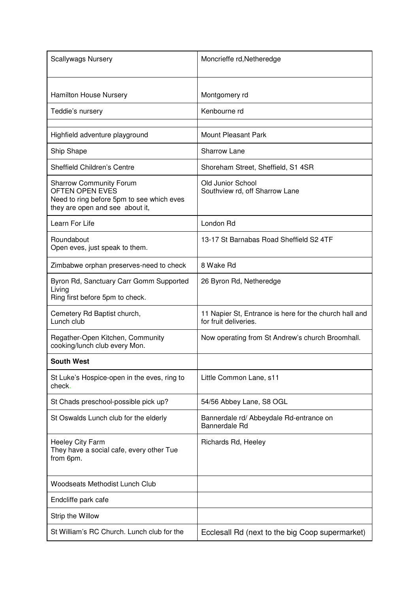| <b>Scallywags Nursery</b>                                                                                                                | Moncrieffe rd, Netheredge                                                       |
|------------------------------------------------------------------------------------------------------------------------------------------|---------------------------------------------------------------------------------|
| <b>Hamilton House Nursery</b>                                                                                                            | Montgomery rd                                                                   |
| Teddie's nursery                                                                                                                         | Kenbourne rd                                                                    |
| Highfield adventure playground                                                                                                           | <b>Mount Pleasant Park</b>                                                      |
| Ship Shape                                                                                                                               | <b>Sharrow Lane</b>                                                             |
| Sheffield Children's Centre                                                                                                              | Shoreham Street, Sheffield, S1 4SR                                              |
| <b>Sharrow Community Forum</b><br><b>OFTEN OPEN EVES</b><br>Need to ring before 5pm to see which eves<br>they are open and see about it, | Old Junior School<br>Southview rd, off Sharrow Lane                             |
| Learn For Life                                                                                                                           | London Rd                                                                       |
| Roundabout<br>Open eves, just speak to them.                                                                                             | 13-17 St Barnabas Road Sheffield S2 4TF                                         |
| Zimbabwe orphan preserves-need to check                                                                                                  | 8 Wake Rd                                                                       |
| Byron Rd, Sanctuary Carr Gomm Supported<br>Living<br>Ring first before 5pm to check.                                                     | 26 Byron Rd, Netheredge                                                         |
| Cemetery Rd Baptist church,<br>Lunch club                                                                                                | 11 Napier St, Entrance is here for the church hall and<br>for fruit deliveries. |
| Regather-Open Kitchen, Community<br>cooking/lunch club every Mon.                                                                        | Now operating from St Andrew's church Broomhall.                                |
| <b>South West</b>                                                                                                                        |                                                                                 |
| St Luke's Hospice-open in the eves, ring to<br>check.                                                                                    | Little Common Lane, s11                                                         |
| St Chads preschool-possible pick up?                                                                                                     | 54/56 Abbey Lane, S8 OGL                                                        |
| St Oswalds Lunch club for the elderly                                                                                                    | Bannerdale rd/ Abbeydale Rd-entrance on<br>Bannerdale Rd                        |
| <b>Heeley City Farm</b><br>They have a social cafe, every other Tue<br>from 6pm.                                                         | Richards Rd, Heeley                                                             |
| <b>Woodseats Methodist Lunch Club</b>                                                                                                    |                                                                                 |
| Endcliffe park cafe                                                                                                                      |                                                                                 |
| Strip the Willow                                                                                                                         |                                                                                 |
| St William's RC Church. Lunch club for the                                                                                               | Ecclesall Rd (next to the big Coop supermarket)                                 |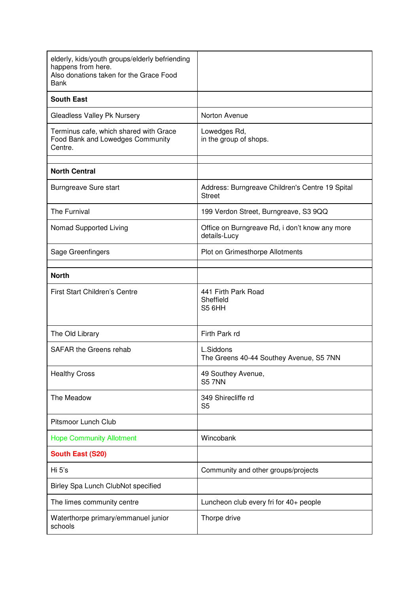| elderly, kids/youth groups/elderly befriending<br>happens from here.<br>Also donations taken for the Grace Food<br>Bank |                                                                  |
|-------------------------------------------------------------------------------------------------------------------------|------------------------------------------------------------------|
| <b>South East</b>                                                                                                       |                                                                  |
| Gleadless Valley Pk Nursery                                                                                             | Norton Avenue                                                    |
| Terminus cafe, which shared with Grace<br>Food Bank and Lowedges Community<br>Centre.                                   | Lowedges Rd,<br>in the group of shops.                           |
| <b>North Central</b>                                                                                                    |                                                                  |
| Burngreave Sure start                                                                                                   | Address: Burngreave Children's Centre 19 Spital<br><b>Street</b> |
| The Furnival                                                                                                            | 199 Verdon Street, Burngreave, S3 9QQ                            |
| Nomad Supported Living                                                                                                  | Office on Burngreave Rd, i don't know any more<br>details-Lucy   |
| Sage Greenfingers                                                                                                       | Plot on Grimesthorpe Allotments                                  |
| <b>North</b>                                                                                                            |                                                                  |
| <b>First Start Children's Centre</b>                                                                                    | 441 Firth Park Road<br>Sheffield<br>S5 <sub>6HH</sub>            |
| The Old Library                                                                                                         | Firth Park rd                                                    |
| <b>SAFAR the Greens rehab</b>                                                                                           | L.Siddons<br>The Greens 40-44 Southey Avenue, S5 7NN             |
| <b>Healthy Cross</b>                                                                                                    | 49 Southey Avenue,<br><b>S5 7NN</b>                              |
| The Meadow                                                                                                              | 349 Shirecliffe rd<br>S <sub>5</sub>                             |
| Pitsmoor Lunch Club                                                                                                     |                                                                  |
| <b>Hope Community Allotment</b>                                                                                         | Wincobank                                                        |
| <b>South East (S20)</b>                                                                                                 |                                                                  |
| Hi 5's                                                                                                                  | Community and other groups/projects                              |
| Birley Spa Lunch ClubNot specified                                                                                      |                                                                  |
| The limes community centre                                                                                              | Luncheon club every fri for 40+ people                           |
| Waterthorpe primary/emmanuel junior<br>schools                                                                          | Thorpe drive                                                     |